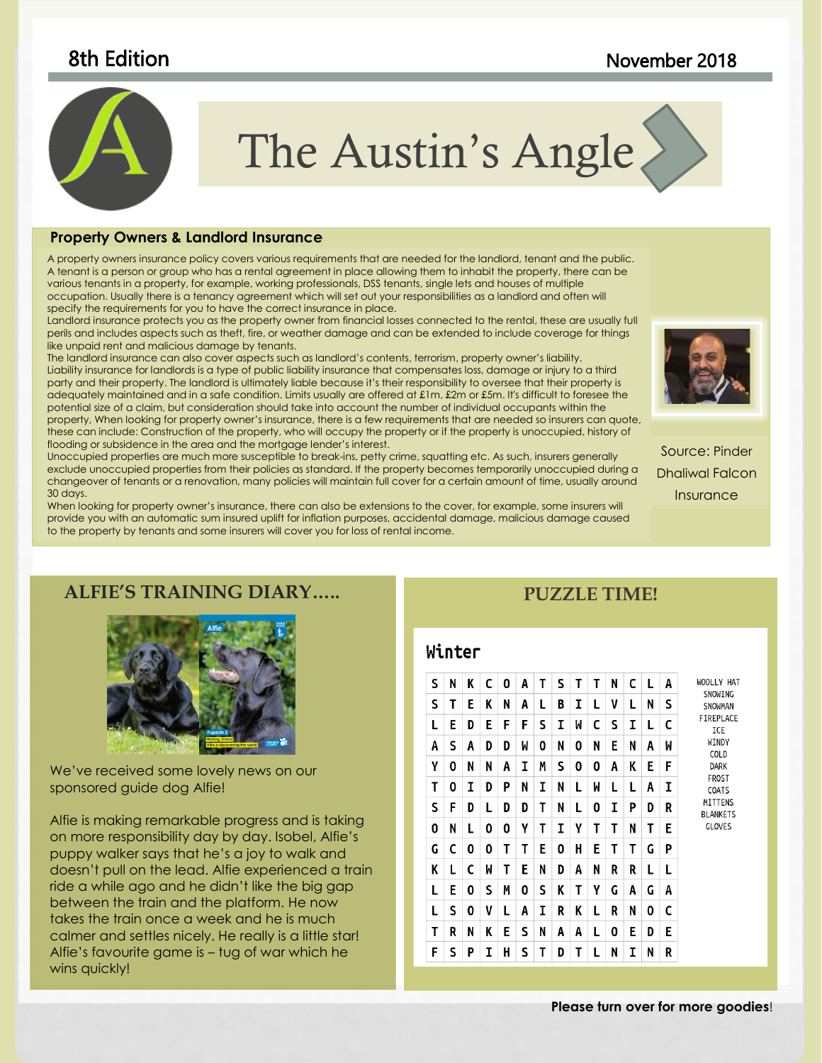### 8th Edition November 2018



# The Austin's Angle

#### to coordinate with the overall look of your document. You can use **Property Owners & Landlord Insurance**

.<br>A property owners insurance policy covers various requirements that are needed for the landlord, tenant and the public. A tenam is a person or group who nas a tental agreement in place allowing mem to inflabil the property, mere can be<br>various tenants in a property, for example, working professionals, DSS tenants, single lets and houses of occupation. Usually there is a tenancy agreement which will set out your responsibilities as a landlord and often will<br>specify the requirements for you to baye the correct insurance in place. A tenant is a person or group who has a rental agreement in place allowing them to inhabit the property, there can be specify the requirements for you to have the correct insurance in place.

candiord insurance profects you as fife property owner from infancial losses connected to fife refilar, mese are usually full<br>perils and includes aspects such as theft, fire, or weather damage and can be extended to includ Landlord insurance protects you as the property owner from financial losses connected to the rental, these are usually full like unpaid rent and malicious damage by tenants.

party and their property. The landlord is ultimately liable because it's their responsibility to oversee that their property is party and their property. The landlord is ultimately liable because it's their responsibility iike uripaia reni ana malicious aamage by tenanis.<br>The landlord insurance can also cover aspects such as landlord's contents, terrorism, property owner's liability. Liability insurance for landlords is a type of public liability insurance that compensates loss, damage or injury to a third adequately maintained and in a safe condition. Limits usually are offered at £1m, £2m or £5m. It's difficult to foresee the potential size of a claim, but consideration should take into account the number of individual occupants within the property, When looking for property owner's insurance, there is a few requirements that are needed so insurers can quote, these can include: Construction of the property, who will occupy the property or if the property is unoccupied, history of flooding or subsidence in the area and the mortgage lender's interest.

Unoccupied properties are much more susceptible to break-ins, petty crime, squatting etc. As such, insurers generally exclude unoccupied properties from their policies as standard. If the property becomes temporarily unoccupied during a changeover of tenants or a renovation, many policies will maintain full cover for a certain amount of time, usually around 30 days.

When looking for property owner's insurance, there can also be extensions to the cover, for example, some insurers will provide you with an automatic sum insured uplift for inflation purposes, accidental damage, malicious damage caused to the property by tenants and some insurers will cover you for loss of rental income.



Source: Pinder Dhaliwal Falcon **Insurance** 

#### **ALFIE'S TRAINING DIARY…..**



We've received some lovely news on our sponsored guide dog Alfie!

Alfie is making remarkable progress and is taking on more responsibility day by day. Isobel, Alfie's puppy walker says that he's a joy to walk and doesn't pull on the lead. Alfie experienced a train ride a while ago and he didn't like the big gap between the train and the platform. He now takes the train once a week and he is much calmer and settles nicely. He really is a little star! Alfie's favourite game is – tug of war which he wins quickly!

#### **PUZZLE TIME!**

#### Winter

| S | N | K | C | 0 | A | т | S | т | Т | N | C | L | A | WOOLLY HAT                                                                                                                              |
|---|---|---|---|---|---|---|---|---|---|---|---|---|---|-----------------------------------------------------------------------------------------------------------------------------------------|
| S | Т | Ε | K | N | A | L | B | I | L | V | L | N | S | SNOWING<br>SNOWMAN<br>FIREPLACE<br>ICE<br>WINDY<br>COLD<br><b>DARK</b><br>FROST<br>COATS<br>MITTENS<br><b>BLANKETS</b><br><b>GLOVES</b> |
| L | E | D | E | F | F | S | I | W | C | S | I | L | C |                                                                                                                                         |
| А | S | A | D | D | W | 0 | N | 0 | N | E | N | A | M |                                                                                                                                         |
| γ | 0 | N | N | A | I | Μ | S | 0 | 0 | A | K | E | F |                                                                                                                                         |
| Τ | 0 | I | D | P | N | I | N | L | M | L | L | Α | I |                                                                                                                                         |
| S | F | D | L | D | D | Т | N | L | 0 | I | P | D | R |                                                                                                                                         |
| 0 | N | L | 0 | 0 | γ | Т | I | γ | Т | Т | N | Т | E |                                                                                                                                         |
| G | C | 0 | 0 | т | Τ | E | 0 | н | E | Τ | T | G | P |                                                                                                                                         |
| K | L | C | W | Т | Е | N | D | A | N | R | R | L | L |                                                                                                                                         |
| L | E | 0 | S | Μ | 0 | S | K | Т | γ | G | A | G | A |                                                                                                                                         |
| L | S | 0 | V | L | A | I | R | K | L | R | N | 0 | C |                                                                                                                                         |
| Т | R | N | K | E | S | N | A | Α | L | 0 | E | D | E |                                                                                                                                         |
| F | S | P | I | н | S | T | D | T | L | N | I | N | R |                                                                                                                                         |